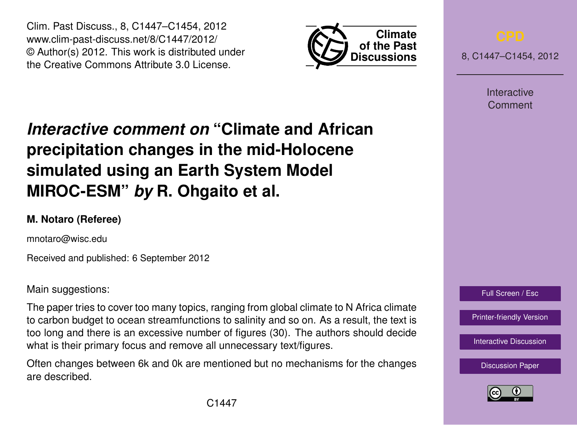Clim. Past Discuss., 8, C1447–C1454, 2012 www.clim-past-discuss.net/8/C1447/2012/ © Author(s) 2012. This work is distributed under the Creative Commons Attribute 3.0 License.



8, C1447–C1454, 2012

**Interactive** Comment

## *Interactive comment on* **"Climate and African precipitation changes in the mid-Holocene simulated using an Earth System Model MIROC-ESM"** *by* **R. Ohgaito et al.**

## **M. Notaro (Referee)**

mnotaro@wisc.edu

Received and published: 6 September 2012

Main suggestions:

The paper tries to cover too many topics, ranging from global climate to N Africa climate to carbon budget to ocean streamfunctions to salinity and so on. As a result, the text is too long and there is an excessive number of figures (30). The authors should decide what is their primary focus and remove all unnecessary text/figures.

Often changes between 6k and 0k are mentioned but no mechanisms for the changes are described.



[Printer-friendly Version](http://www.clim-past-discuss.net/8/C1447/2012/cpd-8-C1447-2012-print.pdf)

[Interactive Discussion](http://www.clim-past-discuss.net/8/3277/2012/cpd-8-3277-2012-discussion.html)

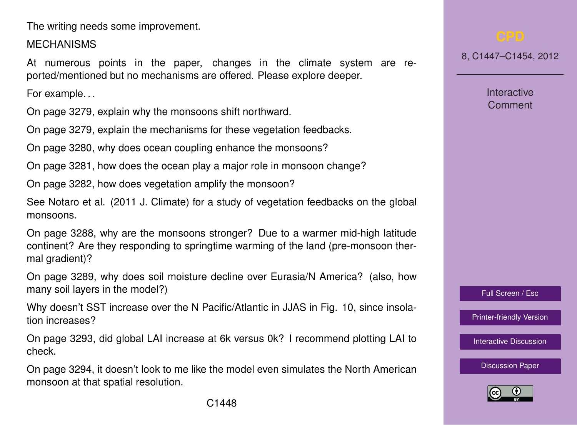The writing needs some improvement.

## **MECHANISMS**

At numerous points in the paper, changes in the climate system are reported/mentioned but no mechanisms are offered. Please explore deeper.

For example. . .

On page 3279, explain why the monsoons shift northward.

On page 3279, explain the mechanisms for these vegetation feedbacks.

On page 3280, why does ocean coupling enhance the monsoons?

On page 3281, how does the ocean play a major role in monsoon change?

On page 3282, how does vegetation amplify the monsoon?

See Notaro et al. (2011 J. Climate) for a study of vegetation feedbacks on the global monsoons.

On page 3288, why are the monsoons stronger? Due to a warmer mid-high latitude continent? Are they responding to springtime warming of the land (pre-monsoon thermal gradient)?

On page 3289, why does soil moisture decline over Eurasia/N America? (also, how many soil layers in the model?)

Why doesn't SST increase over the N Pacific/Atlantic in JJAS in Fig. 10, since insolation increases?

On page 3293, did global LAI increase at 6k versus 0k? I recommend plotting LAI to check.

On page 3294, it doesn't look to me like the model even simulates the North American monsoon at that spatial resolution.

8, C1447–C1454, 2012

**Interactive Comment** 

Full Screen / Esc

[Printer-friendly Version](http://www.clim-past-discuss.net/8/C1447/2012/cpd-8-C1447-2012-print.pdf)

[Interactive Discussion](http://www.clim-past-discuss.net/8/3277/2012/cpd-8-3277-2012-discussion.html)

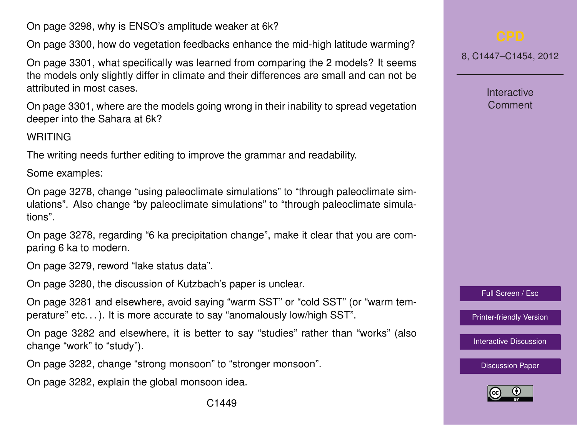On page 3298, why is ENSO's amplitude weaker at 6k?

On page 3300, how do vegetation feedbacks enhance the mid-high latitude warming?

On page 3301, what specifically was learned from comparing the 2 models? It seems the models only slightly differ in climate and their differences are small and can not be attributed in most cases.

On page 3301, where are the models going wrong in their inability to spread vegetation deeper into the Sahara at 6k?

## WRITING

The writing needs further editing to improve the grammar and readability.

Some examples:

On page 3278, change "using paleoclimate simulations" to "through paleoclimate simulations". Also change "by paleoclimate simulations" to "through paleoclimate simulations".

On page 3278, regarding "6 ka precipitation change", make it clear that you are comparing 6 ka to modern.

On page 3279, reword "lake status data".

On page 3280, the discussion of Kutzbach's paper is unclear.

On page 3281 and elsewhere, avoid saying "warm SST" or "cold SST" (or "warm temperature" etc. . . ). It is more accurate to say "anomalously low/high SST".

On page 3282 and elsewhere, it is better to say "studies" rather than "works" (also change "work" to "study").

On page 3282, change "strong monsoon" to "stronger monsoon".

On page 3282, explain the global monsoon idea.

8, C1447–C1454, 2012

**Interactive Comment** 

Full Screen / Esc

[Printer-friendly Version](http://www.clim-past-discuss.net/8/C1447/2012/cpd-8-C1447-2012-print.pdf)

[Interactive Discussion](http://www.clim-past-discuss.net/8/3277/2012/cpd-8-3277-2012-discussion.html)

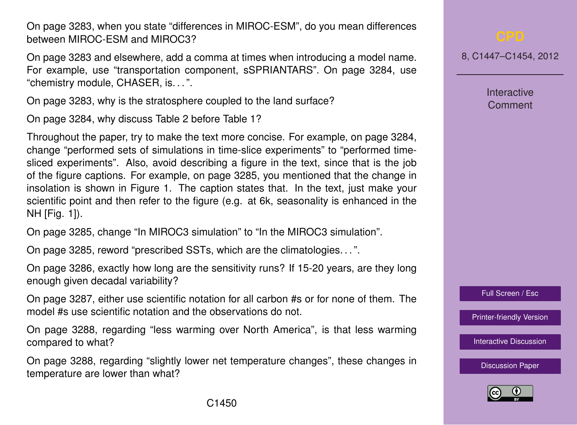On page 3283, when you state "differences in MIROC-ESM", do you mean differences between MIROC-ESM and MIROC3?

On page 3283 and elsewhere, add a comma at times when introducing a model name. For example, use "transportation component, sSPRIANTARS". On page 3284, use "chemistry module, CHASER, is. . . ".

On page 3283, why is the stratosphere coupled to the land surface?

On page 3284, why discuss Table 2 before Table 1?

Throughout the paper, try to make the text more concise. For example, on page 3284, change "performed sets of simulations in time-slice experiments" to "performed timesliced experiments". Also, avoid describing a figure in the text, since that is the job of the figure captions. For example, on page 3285, you mentioned that the change in insolation is shown in Figure 1. The caption states that. In the text, just make your scientific point and then refer to the figure (e.g. at 6k, seasonality is enhanced in the NH [Fig. 1]).

On page 3285, change "In MIROC3 simulation" to "In the MIROC3 simulation".

On page 3285, reword "prescribed SSTs, which are the climatologies. . . ".

On page 3286, exactly how long are the sensitivity runs? If 15-20 years, are they long enough given decadal variability?

On page 3287, either use scientific notation for all carbon #s or for none of them. The model #s use scientific notation and the observations do not.

On page 3288, regarding "less warming over North America", is that less warming compared to what?

On page 3288, regarding "slightly lower net temperature changes", these changes in temperature are lower than what?

8, C1447–C1454, 2012

**Interactive Comment** 

Full Screen / Esc

[Printer-friendly Version](http://www.clim-past-discuss.net/8/C1447/2012/cpd-8-C1447-2012-print.pdf)

[Interactive Discussion](http://www.clim-past-discuss.net/8/3277/2012/cpd-8-3277-2012-discussion.html)

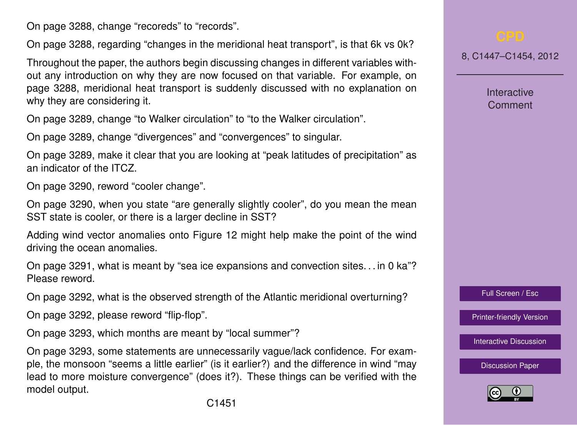On page 3288, change "recoreds" to "records".

On page 3288, regarding "changes in the meridional heat transport", is that 6k vs 0k?

Throughout the paper, the authors begin discussing changes in different variables without any introduction on why they are now focused on that variable. For example, on page 3288, meridional heat transport is suddenly discussed with no explanation on why they are considering it.

On page 3289, change "to Walker circulation" to "to the Walker circulation".

On page 3289, change "divergences" and "convergences" to singular.

On page 3289, make it clear that you are looking at "peak latitudes of precipitation" as an indicator of the ITCZ.

On page 3290, reword "cooler change".

On page 3290, when you state "are generally slightly cooler", do you mean the mean SST state is cooler, or there is a larger decline in SST?

Adding wind vector anomalies onto Figure 12 might help make the point of the wind driving the ocean anomalies.

On page 3291, what is meant by "sea ice expansions and convection sites. . . in 0 ka"? Please reword.

On page 3292, what is the observed strength of the Atlantic meridional overturning?

On page 3292, please reword "flip-flop".

On page 3293, which months are meant by "local summer"?

On page 3293, some statements are unnecessarily vague/lack confidence. For example, the monsoon "seems a little earlier" (is it earlier?) and the difference in wind "may lead to more moisture convergence" (does it?). These things can be verified with the model output.

8, C1447–C1454, 2012

**Interactive Comment** 



[Printer-friendly Version](http://www.clim-past-discuss.net/8/C1447/2012/cpd-8-C1447-2012-print.pdf)

[Interactive Discussion](http://www.clim-past-discuss.net/8/3277/2012/cpd-8-3277-2012-discussion.html)

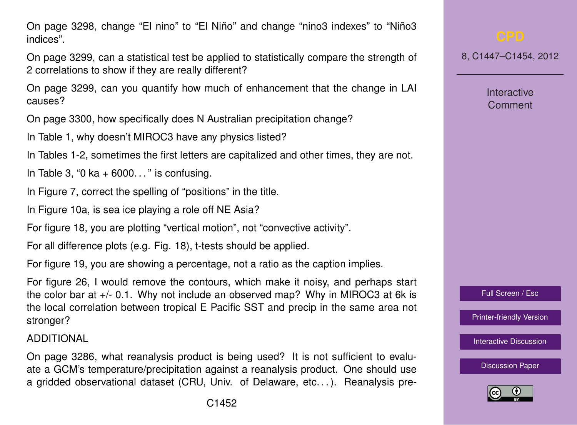On page 3298, change "El nino" to "El Niño" and change "nino3 indexes" to "Niño3 indices".

On page 3299, can a statistical test be applied to statistically compare the strength of 2 correlations to show if they are really different?

On page 3299, can you quantify how much of enhancement that the change in LAI causes?

On page 3300, how specifically does N Australian precipitation change?

In Table 1, why doesn't MIROC3 have any physics listed?

In Tables 1-2, sometimes the first letters are capitalized and other times, they are not.

In Table 3, "0 ka  $+$  6000..." is confusing.

In Figure 7, correct the spelling of "positions" in the title.

In Figure 10a, is sea ice playing a role off NE Asia?

For figure 18, you are plotting "vertical motion", not "convective activity".

For all difference plots (e.g. Fig. 18), t-tests should be applied.

For figure 19, you are showing a percentage, not a ratio as the caption implies.

For figure 26, I would remove the contours, which make it noisy, and perhaps start the color bar at +/- 0.1. Why not include an observed map? Why in MIROC3 at 6k is the local correlation between tropical E Pacific SST and precip in the same area not stronger?

ADDITIONAL

On page 3286, what reanalysis product is being used? It is not sufficient to evaluate a GCM's temperature/precipitation against a reanalysis product. One should use a gridded observational dataset (CRU, Univ. of Delaware, etc. . . ). Reanalysis pre8, C1447–C1454, 2012

**Interactive Comment** 



[Printer-friendly Version](http://www.clim-past-discuss.net/8/C1447/2012/cpd-8-C1447-2012-print.pdf)

[Interactive Discussion](http://www.clim-past-discuss.net/8/3277/2012/cpd-8-3277-2012-discussion.html)

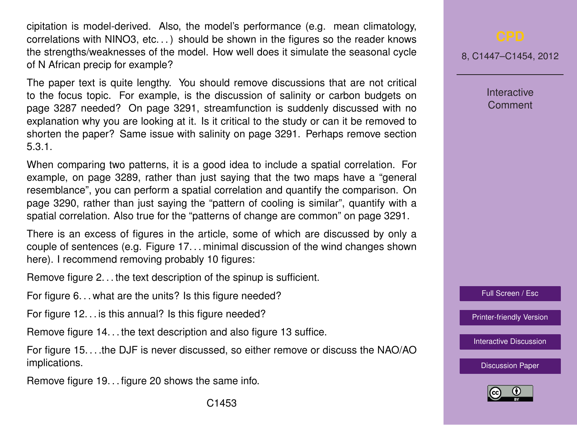cipitation is model-derived. Also, the model's performance (e.g. mean climatology, correlations with NINO3, etc. . . ) should be shown in the figures so the reader knows the strengths/weaknesses of the model. How well does it simulate the seasonal cycle of N African precip for example?

The paper text is quite lengthy. You should remove discussions that are not critical to the focus topic. For example, is the discussion of salinity or carbon budgets on page 3287 needed? On page 3291, streamfunction is suddenly discussed with no explanation why you are looking at it. Is it critical to the study or can it be removed to shorten the paper? Same issue with salinity on page 3291. Perhaps remove section 5.3.1.

When comparing two patterns, it is a good idea to include a spatial correlation. For example, on page 3289, rather than just saying that the two maps have a "general resemblance", you can perform a spatial correlation and quantify the comparison. On page 3290, rather than just saying the "pattern of cooling is similar", quantify with a spatial correlation. Also true for the "patterns of change are common" on page 3291.

There is an excess of figures in the article, some of which are discussed by only a couple of sentences (e.g. Figure 17. . . minimal discussion of the wind changes shown here). I recommend removing probably 10 figures:

Remove figure 2. . . the text description of the spinup is sufficient.

For figure 6... what are the units? Is this figure needed?

For figure 12... is this annual? Is this figure needed?

Remove figure 14. . . the text description and also figure 13 suffice.

For figure 15. . . .the DJF is never discussed, so either remove or discuss the NAO/AO implications.

Remove figure 19. . . figure 20 shows the same info.

8, C1447–C1454, 2012

**Interactive Comment** 

Full Screen / Esc

[Printer-friendly Version](http://www.clim-past-discuss.net/8/C1447/2012/cpd-8-C1447-2012-print.pdf)

[Interactive Discussion](http://www.clim-past-discuss.net/8/3277/2012/cpd-8-3277-2012-discussion.html)